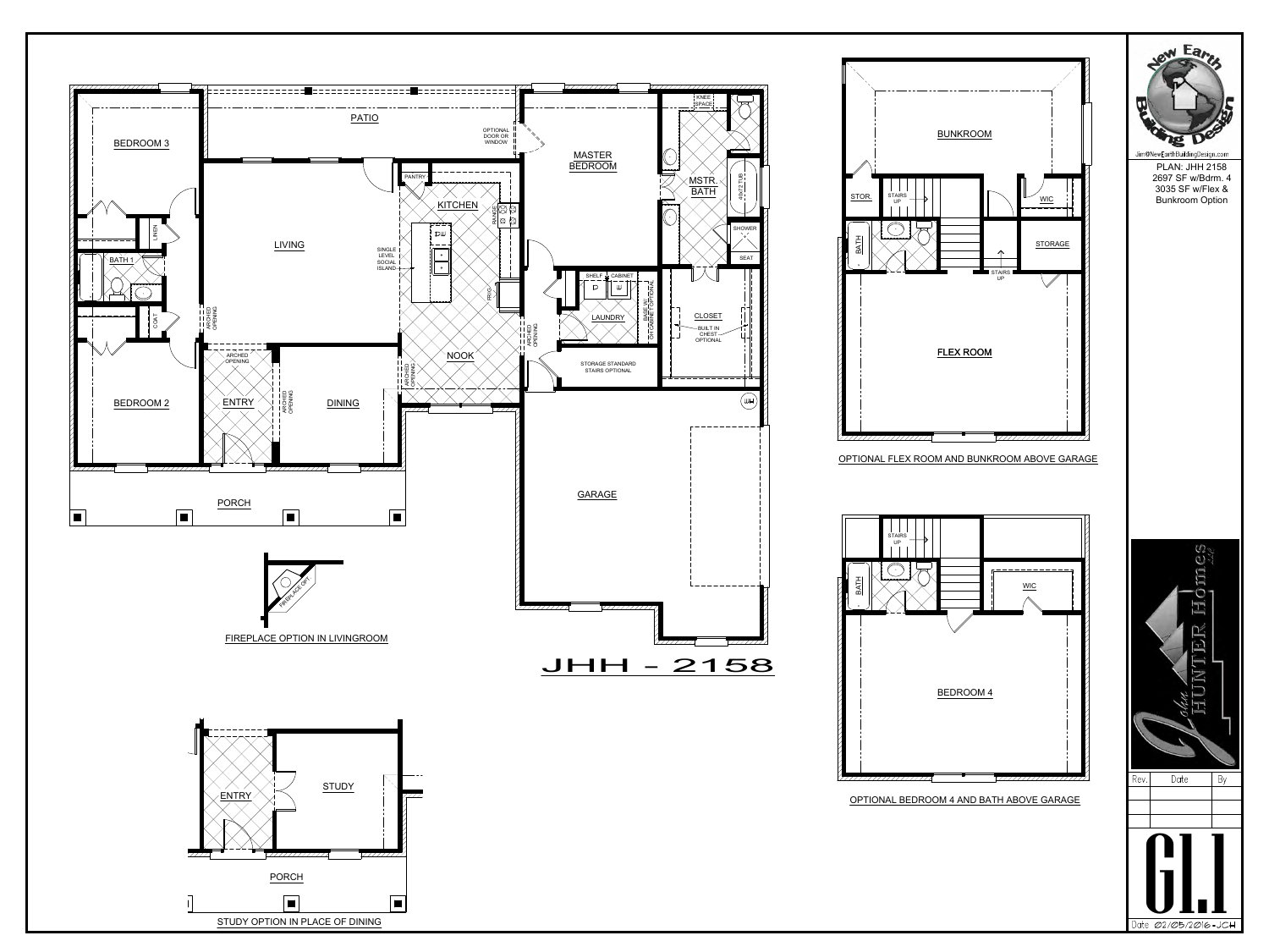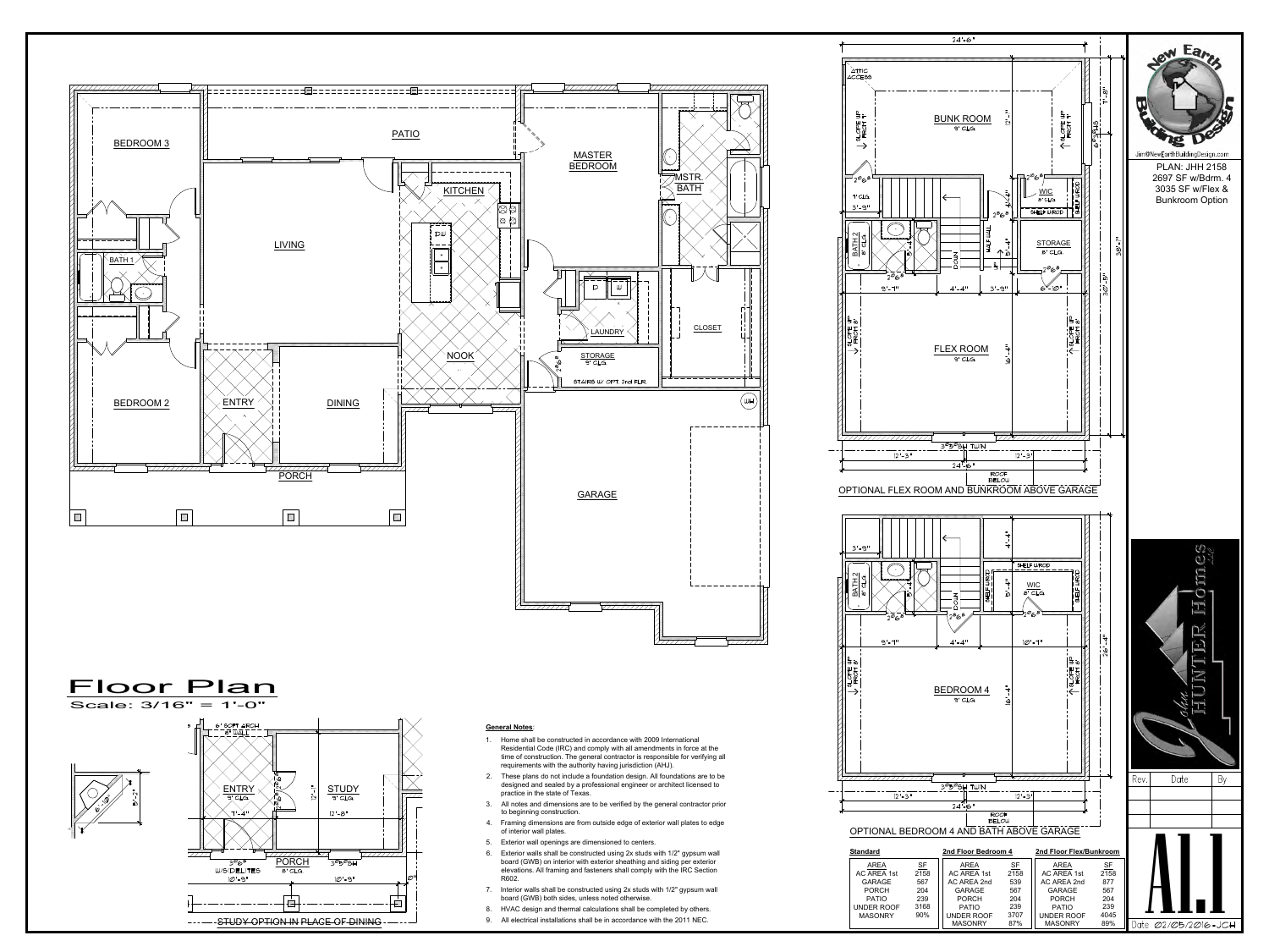





- time of construction. The general contractor is responsible for verifying all requirements with the authority having jurisdiction (AHJ).
- designed and sealed by a professional engineer or architect licensed to practice in the state of Texas. Framing of construction. The general contractor is responsible to<br>requirements with the authority having jurisdiction (AHJ).<br>2. These plans do not include a foundation design. All foundation<br>designed and sealed by a profes
- to beginning construction.
- of interior wall plates.
- 
- Frame plans do not include a foundation design. All foundations are to be designed and sealed by a professional engineer or architect licensed to practice in the state of Texas.<br>
3. All notes and dimensions are to be veri board (GWB) on interior with exterior sheathing and siding per exterior elevations. All framing and fasteners shall comply with the IRC Section R602. 7. Farming dimensions are to be verified by the general contractor photomore to beginning construction.<br>
4. Framing dimensions are from outside edge of exterior wall plates to edge of interior wall plates.<br>
5. Exterior wa Frammy unnerisions are nont outside edge or exterior wall plates to edge<br>of interior wall openings are dimensioned to centers.<br>8. Exterior walls shall be constructed using 2x studs with 1/2" gypsum wall<br>board (GWB) on inte 9. Exterior wall openings are dimensioned to centers.<br>
9. Exterior walls shall be constructed using  $2x$  studs with  $1/2$ " gypsum wall<br>
board (GWB) on interior with exterior sheathing and siding per exterior<br>
elevations.
- board (GWB) both sides, unless noted otherwise.
- 
- STUDY OPTION IN PLACE OF DINING



**CLOSET**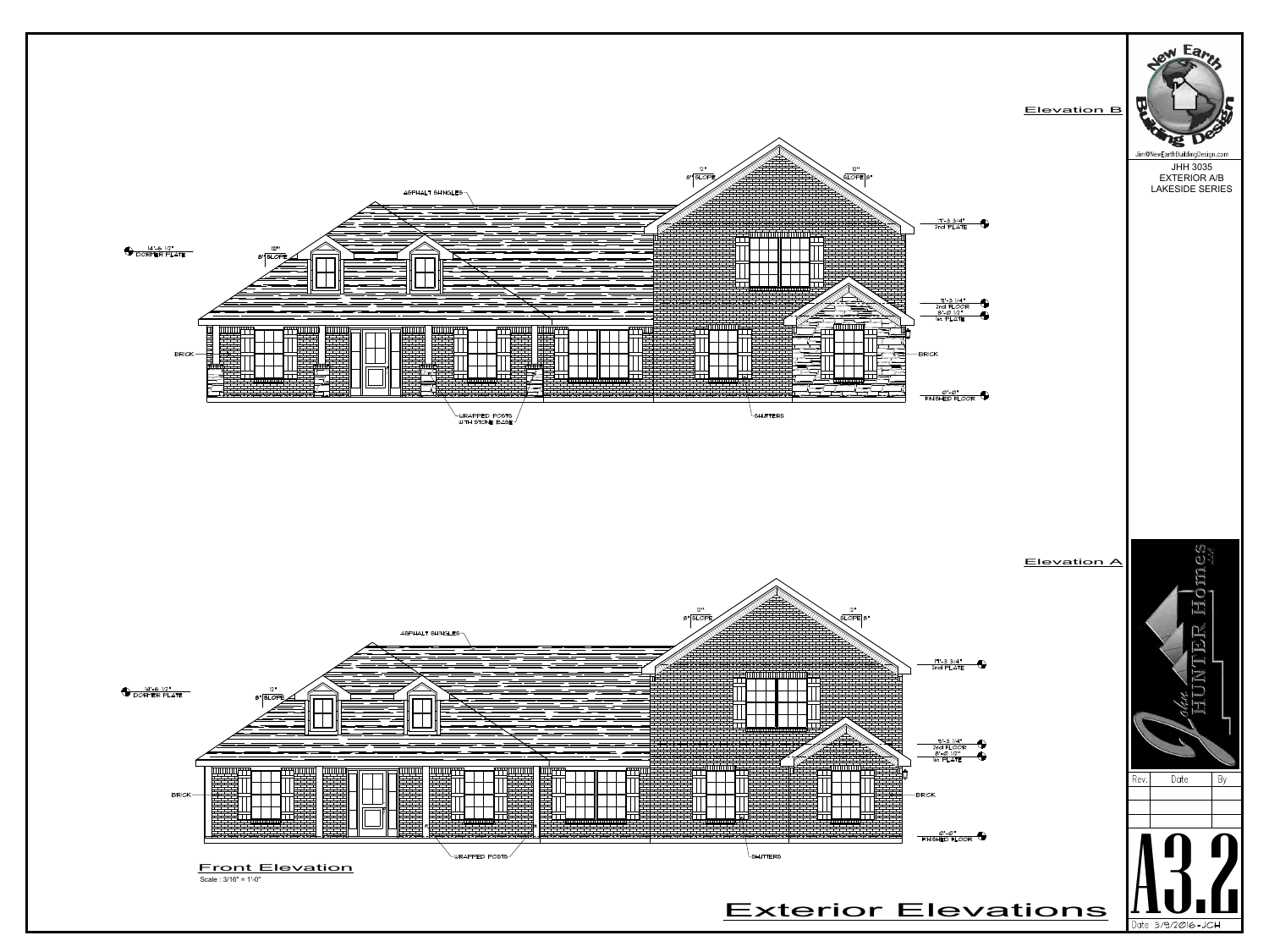